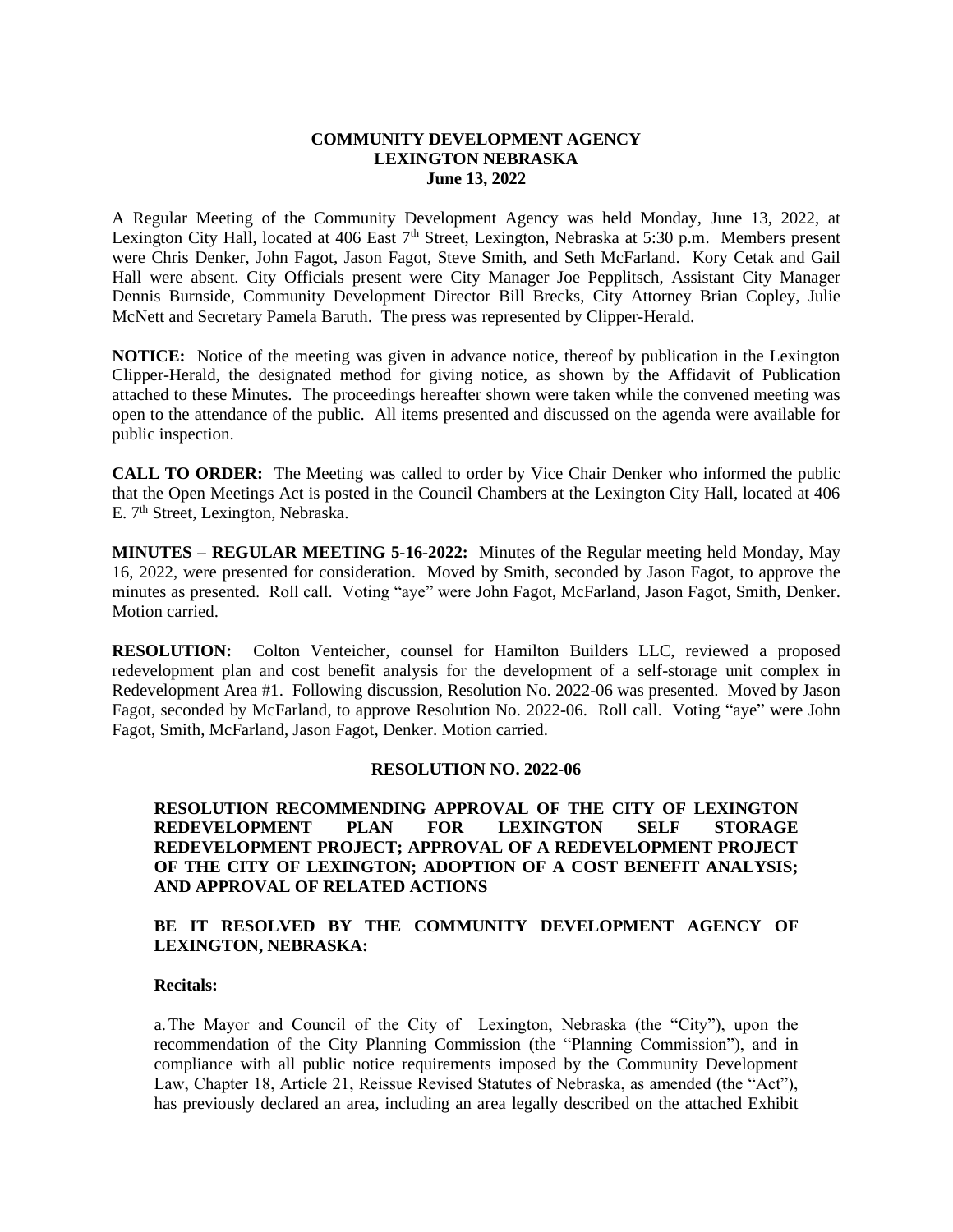## **COMMUNITY DEVELOPMENT AGENCY LEXINGTON NEBRASKA June 13, 2022**

A Regular Meeting of the Community Development Agency was held Monday, June 13, 2022, at Lexington City Hall, located at 406 East 7<sup>th</sup> Street, Lexington, Nebraska at 5:30 p.m. Members present were Chris Denker, John Fagot, Jason Fagot, Steve Smith, and Seth McFarland. Kory Cetak and Gail Hall were absent. City Officials present were City Manager Joe Pepplitsch, Assistant City Manager Dennis Burnside, Community Development Director Bill Brecks, City Attorney Brian Copley, Julie McNett and Secretary Pamela Baruth. The press was represented by Clipper-Herald.

**NOTICE:** Notice of the meeting was given in advance notice, thereof by publication in the Lexington Clipper-Herald, the designated method for giving notice, as shown by the Affidavit of Publication attached to these Minutes. The proceedings hereafter shown were taken while the convened meeting was open to the attendance of the public. All items presented and discussed on the agenda were available for public inspection.

**CALL TO ORDER:** The Meeting was called to order by Vice Chair Denker who informed the public that the Open Meetings Act is posted in the Council Chambers at the Lexington City Hall, located at 406 E. 7<sup>th</sup> Street, Lexington, Nebraska.

**MINUTES – REGULAR MEETING 5-16-2022:** Minutes of the Regular meeting held Monday, May 16, 2022, were presented for consideration. Moved by Smith, seconded by Jason Fagot, to approve the minutes as presented. Roll call. Voting "aye" were John Fagot, McFarland, Jason Fagot, Smith, Denker. Motion carried.

**RESOLUTION:** Colton Venteicher, counsel for Hamilton Builders LLC, reviewed a proposed redevelopment plan and cost benefit analysis for the development of a self-storage unit complex in Redevelopment Area #1. Following discussion, Resolution No. 2022-06 was presented. Moved by Jason Fagot, seconded by McFarland, to approve Resolution No. 2022-06. Roll call. Voting "aye" were John Fagot, Smith, McFarland, Jason Fagot, Denker. Motion carried.

# **RESOLUTION NO. 2022-06**

**RESOLUTION RECOMMENDING APPROVAL OF THE CITY OF LEXINGTON REDEVELOPMENT PLAN FOR LEXINGTON SELF STORAGE REDEVELOPMENT PROJECT; APPROVAL OF A REDEVELOPMENT PROJECT OF THE CITY OF LEXINGTON; ADOPTION OF A COST BENEFIT ANALYSIS; AND APPROVAL OF RELATED ACTIONS**

# **BE IT RESOLVED BY THE COMMUNITY DEVELOPMENT AGENCY OF LEXINGTON, NEBRASKA:**

### **Recitals:**

a.The Mayor and Council of the City of Lexington, Nebraska (the "City"), upon the recommendation of the City Planning Commission (the "Planning Commission"), and in compliance with all public notice requirements imposed by the Community Development Law, Chapter 18, Article 21, Reissue Revised Statutes of Nebraska, as amended (the "Act"), has previously declared an area, including an area legally described on the attached Exhibit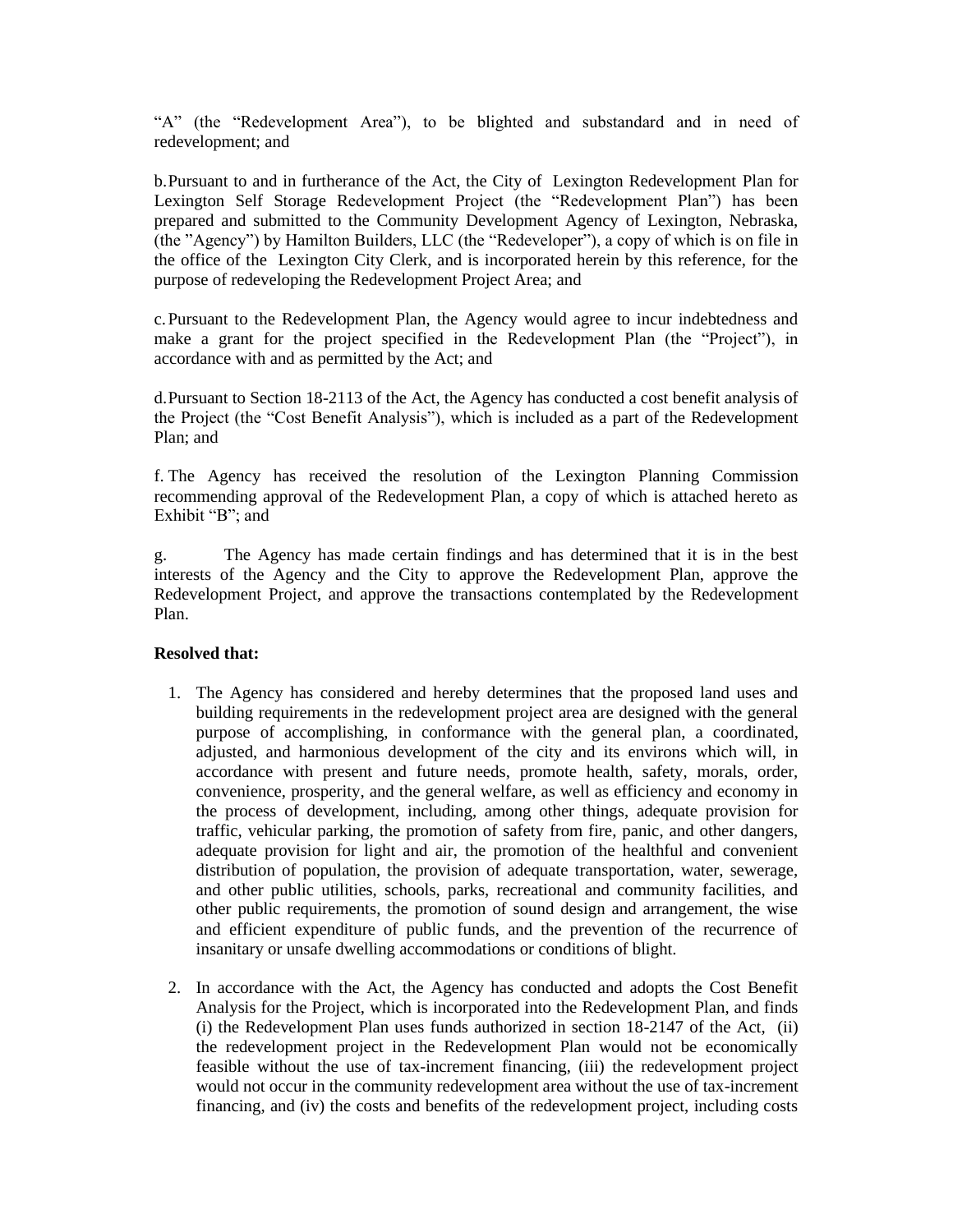"A" (the "Redevelopment Area"), to be blighted and substandard and in need of redevelopment; and

b.Pursuant to and in furtherance of the Act, the City of Lexington Redevelopment Plan for Lexington Self Storage Redevelopment Project (the "Redevelopment Plan") has been prepared and submitted to the Community Development Agency of Lexington, Nebraska, (the "Agency") by Hamilton Builders, LLC (the "Redeveloper"), a copy of which is on file in the office of the Lexington City Clerk, and is incorporated herein by this reference, for the purpose of redeveloping the Redevelopment Project Area; and

c.Pursuant to the Redevelopment Plan, the Agency would agree to incur indebtedness and make a grant for the project specified in the Redevelopment Plan (the "Project"), in accordance with and as permitted by the Act; and

d.Pursuant to Section 18-2113 of the Act, the Agency has conducted a cost benefit analysis of the Project (the "Cost Benefit Analysis"), which is included as a part of the Redevelopment Plan; and

f. The Agency has received the resolution of the Lexington Planning Commission recommending approval of the Redevelopment Plan, a copy of which is attached hereto as Exhibit "B"; and

g. The Agency has made certain findings and has determined that it is in the best interests of the Agency and the City to approve the Redevelopment Plan, approve the Redevelopment Project, and approve the transactions contemplated by the Redevelopment Plan.

# **Resolved that:**

- 1. The Agency has considered and hereby determines that the proposed land uses and building requirements in the redevelopment project area are designed with the general purpose of accomplishing, in conformance with the general plan, a coordinated, adjusted, and harmonious development of the city and its environs which will, in accordance with present and future needs, promote health, safety, morals, order, convenience, prosperity, and the general welfare, as well as efficiency and economy in the process of development, including, among other things, adequate provision for traffic, vehicular parking, the promotion of safety from fire, panic, and other dangers, adequate provision for light and air, the promotion of the healthful and convenient distribution of population, the provision of adequate transportation, water, sewerage, and other public utilities, schools, parks, recreational and community facilities, and other public requirements, the promotion of sound design and arrangement, the wise and efficient expenditure of public funds, and the prevention of the recurrence of insanitary or unsafe dwelling accommodations or conditions of blight.
- 2. In accordance with the Act, the Agency has conducted and adopts the Cost Benefit Analysis for the Project, which is incorporated into the Redevelopment Plan, and finds (i) the Redevelopment Plan uses funds authorized in section 18-2147 of the Act, (ii) the redevelopment project in the Redevelopment Plan would not be economically feasible without the use of tax-increment financing, (iii) the redevelopment project would not occur in the community redevelopment area without the use of tax-increment financing, and (iv) the costs and benefits of the redevelopment project, including costs